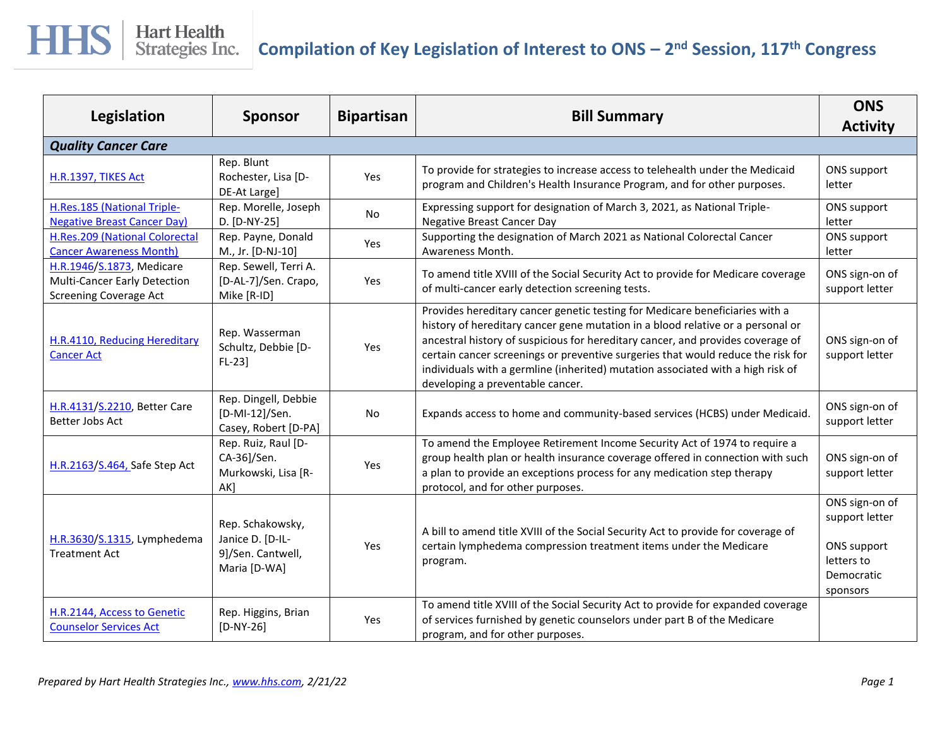| Legislation                                                                                | <b>Sponsor</b>                                                            | <b>Bipartisan</b> | <b>Bill Summary</b>                                                                                                                                                                                                                                                                                                                                                                                                                                           | <b>ONS</b><br><b>Activity</b>                                                           |
|--------------------------------------------------------------------------------------------|---------------------------------------------------------------------------|-------------------|---------------------------------------------------------------------------------------------------------------------------------------------------------------------------------------------------------------------------------------------------------------------------------------------------------------------------------------------------------------------------------------------------------------------------------------------------------------|-----------------------------------------------------------------------------------------|
| <b>Quality Cancer Care</b>                                                                 |                                                                           |                   |                                                                                                                                                                                                                                                                                                                                                                                                                                                               |                                                                                         |
| H.R.1397, TIKES Act                                                                        | Rep. Blunt<br>Rochester, Lisa [D-<br>DE-At Large]                         | Yes               | To provide for strategies to increase access to telehealth under the Medicaid<br>program and Children's Health Insurance Program, and for other purposes.                                                                                                                                                                                                                                                                                                     | ONS support<br>letter                                                                   |
| H.Res.185 (National Triple-<br><b>Negative Breast Cancer Day)</b>                          | Rep. Morelle, Joseph<br>D. [D-NY-25]                                      | No                | Expressing support for designation of March 3, 2021, as National Triple-<br><b>Negative Breast Cancer Day</b>                                                                                                                                                                                                                                                                                                                                                 | ONS support<br>letter                                                                   |
| H.Res.209 (National Colorectal<br><b>Cancer Awareness Month)</b>                           | Rep. Payne, Donald<br>M., Jr. [D-NJ-10]                                   | Yes               | Supporting the designation of March 2021 as National Colorectal Cancer<br>Awareness Month.                                                                                                                                                                                                                                                                                                                                                                    | ONS support<br>letter                                                                   |
| H.R.1946/S.1873, Medicare<br>Multi-Cancer Early Detection<br><b>Screening Coverage Act</b> | Rep. Sewell, Terri A.<br>[D-AL-7]/Sen. Crapo,<br>Mike [R-ID]              | Yes               | To amend title XVIII of the Social Security Act to provide for Medicare coverage<br>of multi-cancer early detection screening tests.                                                                                                                                                                                                                                                                                                                          | ONS sign-on of<br>support letter                                                        |
| H.R.4110, Reducing Hereditary<br><b>Cancer Act</b>                                         | Rep. Wasserman<br>Schultz, Debbie [D-<br>$FL-23$ ]                        | Yes               | Provides hereditary cancer genetic testing for Medicare beneficiaries with a<br>history of hereditary cancer gene mutation in a blood relative or a personal or<br>ancestral history of suspicious for hereditary cancer, and provides coverage of<br>certain cancer screenings or preventive surgeries that would reduce the risk for<br>individuals with a germline (inherited) mutation associated with a high risk of<br>developing a preventable cancer. | ONS sign-on of<br>support letter                                                        |
| H.R.4131/S.2210, Better Care<br>Better Jobs Act                                            | Rep. Dingell, Debbie<br>[D-MI-12]/Sen.<br>Casey, Robert [D-PA]            | No                | Expands access to home and community-based services (HCBS) under Medicaid.                                                                                                                                                                                                                                                                                                                                                                                    | ONS sign-on of<br>support letter                                                        |
| H.R.2163/S.464, Safe Step Act                                                              | Rep. Ruiz, Raul [D-<br>CA-36]/Sen.<br>Murkowski, Lisa [R-<br>AK]          | Yes               | To amend the Employee Retirement Income Security Act of 1974 to require a<br>group health plan or health insurance coverage offered in connection with such<br>a plan to provide an exceptions process for any medication step therapy<br>protocol, and for other purposes.                                                                                                                                                                                   | ONS sign-on of<br>support letter                                                        |
| H.R.3630/S.1315, Lymphedema<br><b>Treatment Act</b>                                        | Rep. Schakowsky,<br>Janice D. [D-IL-<br>9]/Sen. Cantwell,<br>Maria [D-WA] | Yes               | A bill to amend title XVIII of the Social Security Act to provide for coverage of<br>certain lymphedema compression treatment items under the Medicare<br>program.                                                                                                                                                                                                                                                                                            | ONS sign-on of<br>support letter<br>ONS support<br>letters to<br>Democratic<br>sponsors |
| H.R.2144, Access to Genetic<br><b>Counselor Services Act</b>                               | Rep. Higgins, Brian<br>$[D-NY-26]$                                        | <b>Yes</b>        | To amend title XVIII of the Social Security Act to provide for expanded coverage<br>of services furnished by genetic counselors under part B of the Medicare<br>program, and for other purposes.                                                                                                                                                                                                                                                              |                                                                                         |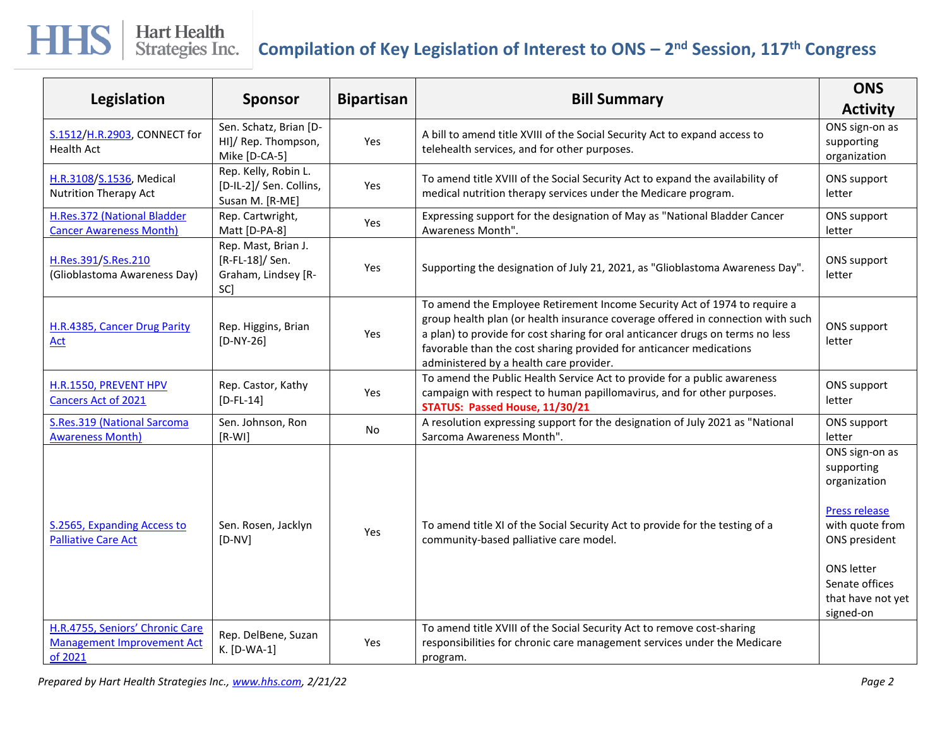| Legislation                                                                     | <b>Sponsor</b>                                                       | <b>Bipartisan</b> | <b>Bill Summary</b>                                                                                                                                                                                                                                                                                                                                              | <b>ONS</b><br><b>Activity</b>                                                                                                                                              |
|---------------------------------------------------------------------------------|----------------------------------------------------------------------|-------------------|------------------------------------------------------------------------------------------------------------------------------------------------------------------------------------------------------------------------------------------------------------------------------------------------------------------------------------------------------------------|----------------------------------------------------------------------------------------------------------------------------------------------------------------------------|
| S.1512/H.R.2903, CONNECT for<br><b>Health Act</b>                               | Sen. Schatz, Brian [D-<br>HI]/ Rep. Thompson,<br>Mike [D-CA-5]       | Yes               | A bill to amend title XVIII of the Social Security Act to expand access to<br>telehealth services, and for other purposes.                                                                                                                                                                                                                                       | ONS sign-on as<br>supporting<br>organization                                                                                                                               |
| H.R.3108/S.1536, Medical<br><b>Nutrition Therapy Act</b>                        | Rep. Kelly, Robin L.<br>[D-IL-2]/ Sen. Collins,<br>Susan M. [R-ME]   | Yes               | To amend title XVIII of the Social Security Act to expand the availability of<br>medical nutrition therapy services under the Medicare program.                                                                                                                                                                                                                  | ONS support<br>letter                                                                                                                                                      |
| H.Res.372 (National Bladder<br><b>Cancer Awareness Month)</b>                   | Rep. Cartwright,<br>Matt [D-PA-8]                                    | Yes               | Expressing support for the designation of May as "National Bladder Cancer<br>Awareness Month".                                                                                                                                                                                                                                                                   | ONS support<br>letter                                                                                                                                                      |
| H.Res.391/S.Res.210<br>(Glioblastoma Awareness Day)                             | Rep. Mast, Brian J.<br>[R-FL-18]/ Sen.<br>Graham, Lindsey [R-<br>SC] | Yes               | Supporting the designation of July 21, 2021, as "Glioblastoma Awareness Day".                                                                                                                                                                                                                                                                                    | ONS support<br>letter                                                                                                                                                      |
| H.R.4385, Cancer Drug Parity<br>Act                                             | Rep. Higgins, Brian<br>$[D-NY-26]$                                   | Yes               | To amend the Employee Retirement Income Security Act of 1974 to require a<br>group health plan (or health insurance coverage offered in connection with such<br>a plan) to provide for cost sharing for oral anticancer drugs on terms no less<br>favorable than the cost sharing provided for anticancer medications<br>administered by a health care provider. | ONS support<br>letter                                                                                                                                                      |
| H.R.1550, PREVENT HPV<br>Cancers Act of 2021                                    | Rep. Castor, Kathy<br>$[D-FL-14]$                                    | Yes               | To amend the Public Health Service Act to provide for a public awareness<br>campaign with respect to human papillomavirus, and for other purposes.<br>STATUS: Passed House, 11/30/21                                                                                                                                                                             | ONS support<br>letter                                                                                                                                                      |
| S.Res.319 (National Sarcoma<br><b>Awareness Month)</b>                          | Sen. Johnson, Ron<br>$[R-WI]$                                        | <b>No</b>         | A resolution expressing support for the designation of July 2021 as "National<br>Sarcoma Awareness Month".                                                                                                                                                                                                                                                       | ONS support<br>letter                                                                                                                                                      |
| S.2565, Expanding Access to<br><b>Palliative Care Act</b>                       | Sen. Rosen, Jacklyn<br>$[D-NV]$                                      | Yes               | To amend title XI of the Social Security Act to provide for the testing of a<br>community-based palliative care model.                                                                                                                                                                                                                                           | ONS sign-on as<br>supporting<br>organization<br>Press release<br>with quote from<br>ONS president<br><b>ONS</b> letter<br>Senate offices<br>that have not yet<br>signed-on |
| H.R.4755, Seniors' Chronic Care<br><b>Management Improvement Act</b><br>of 2021 | Rep. DelBene, Suzan<br>K. [D-WA-1]                                   | Yes               | To amend title XVIII of the Social Security Act to remove cost-sharing<br>responsibilities for chronic care management services under the Medicare<br>program.                                                                                                                                                                                                   |                                                                                                                                                                            |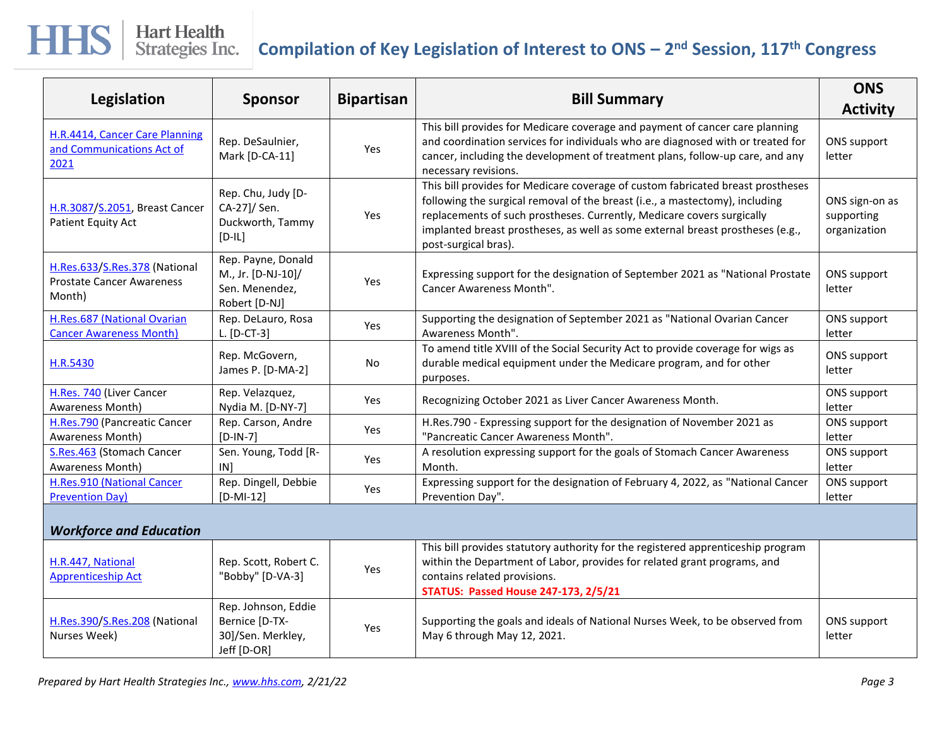| Legislation                                                                 | <b>Sponsor</b>                                                              | <b>Bipartisan</b> | <b>Bill Summary</b>                                                                                                                                                                                                                                                                                                                                 | <b>ONS</b><br><b>Activity</b>                |
|-----------------------------------------------------------------------------|-----------------------------------------------------------------------------|-------------------|-----------------------------------------------------------------------------------------------------------------------------------------------------------------------------------------------------------------------------------------------------------------------------------------------------------------------------------------------------|----------------------------------------------|
| H.R.4414, Cancer Care Planning<br>and Communications Act of<br>2021         | Rep. DeSaulnier,<br>Mark [D-CA-11]                                          | Yes               | This bill provides for Medicare coverage and payment of cancer care planning<br>and coordination services for individuals who are diagnosed with or treated for<br>cancer, including the development of treatment plans, follow-up care, and any<br>necessary revisions.                                                                            | ONS support<br>letter                        |
| H.R.3087/S.2051, Breast Cancer<br>Patient Equity Act                        | Rep. Chu, Judy [D-<br>CA-27]/ Sen.<br>Duckworth, Tammy<br>$[D-IL]$          | Yes               | This bill provides for Medicare coverage of custom fabricated breast prostheses<br>following the surgical removal of the breast (i.e., a mastectomy), including<br>replacements of such prostheses. Currently, Medicare covers surgically<br>implanted breast prostheses, as well as some external breast prostheses (e.g.,<br>post-surgical bras). | ONS sign-on as<br>supporting<br>organization |
| H.Res.633/S.Res.378 (National<br><b>Prostate Cancer Awareness</b><br>Month) | Rep. Payne, Donald<br>M., Jr. [D-NJ-10]/<br>Sen. Menendez,<br>Robert [D-NJ] | Yes               | Expressing support for the designation of September 2021 as "National Prostate<br>Cancer Awareness Month".                                                                                                                                                                                                                                          | ONS support<br>letter                        |
| H.Res.687 (National Ovarian<br><b>Cancer Awareness Month)</b>               | Rep. DeLauro, Rosa<br>L. [D-CT-3]                                           | Yes               | Supporting the designation of September 2021 as "National Ovarian Cancer<br>Awareness Month".                                                                                                                                                                                                                                                       | ONS support<br>letter                        |
| H.R.5430                                                                    | Rep. McGovern,<br>James P. [D-MA-2]                                         | No                | To amend title XVIII of the Social Security Act to provide coverage for wigs as<br>durable medical equipment under the Medicare program, and for other<br>purposes.                                                                                                                                                                                 | <b>ONS</b> support<br>letter                 |
| H.Res. 740 (Liver Cancer<br>Awareness Month)                                | Rep. Velazquez,<br>Nydia M. [D-NY-7]                                        | Yes               | Recognizing October 2021 as Liver Cancer Awareness Month.                                                                                                                                                                                                                                                                                           | ONS support<br>letter                        |
| H.Res.790 (Pancreatic Cancer<br>Awareness Month)                            | Rep. Carson, Andre<br>$[D-IN-7]$                                            | Yes               | H.Res.790 - Expressing support for the designation of November 2021 as<br>"Pancreatic Cancer Awareness Month".                                                                                                                                                                                                                                      | ONS support<br>letter                        |
| S.Res.463 (Stomach Cancer<br>Awareness Month)                               | Sen. Young, Todd [R-<br>IN]                                                 | Yes               | A resolution expressing support for the goals of Stomach Cancer Awareness<br>Month.                                                                                                                                                                                                                                                                 | <b>ONS</b> support<br>letter                 |
| <b>H.Res.910 (National Cancer</b><br><b>Prevention Day)</b>                 | Rep. Dingell, Debbie<br>$[D-MI-12]$                                         | Yes               | Expressing support for the designation of February 4, 2022, as "National Cancer<br>Prevention Day".                                                                                                                                                                                                                                                 | ONS support<br>letter                        |
| <b>Workforce and Education</b>                                              |                                                                             |                   |                                                                                                                                                                                                                                                                                                                                                     |                                              |
| H.R.447, National<br><b>Apprenticeship Act</b>                              | Rep. Scott, Robert C.<br>"Bobby" [D-VA-3]                                   | Yes               | This bill provides statutory authority for the registered apprenticeship program<br>within the Department of Labor, provides for related grant programs, and<br>contains related provisions.<br><b>STATUS: Passed House 247-173, 2/5/21</b>                                                                                                         |                                              |
| H.Res.390/S.Res.208 (National<br>Nurses Week)                               | Rep. Johnson, Eddie<br>Bernice [D-TX-<br>30]/Sen. Merkley,<br>Jeff [D-OR]   | Yes               | Supporting the goals and ideals of National Nurses Week, to be observed from<br>May 6 through May 12, 2021.                                                                                                                                                                                                                                         | ONS support<br>letter                        |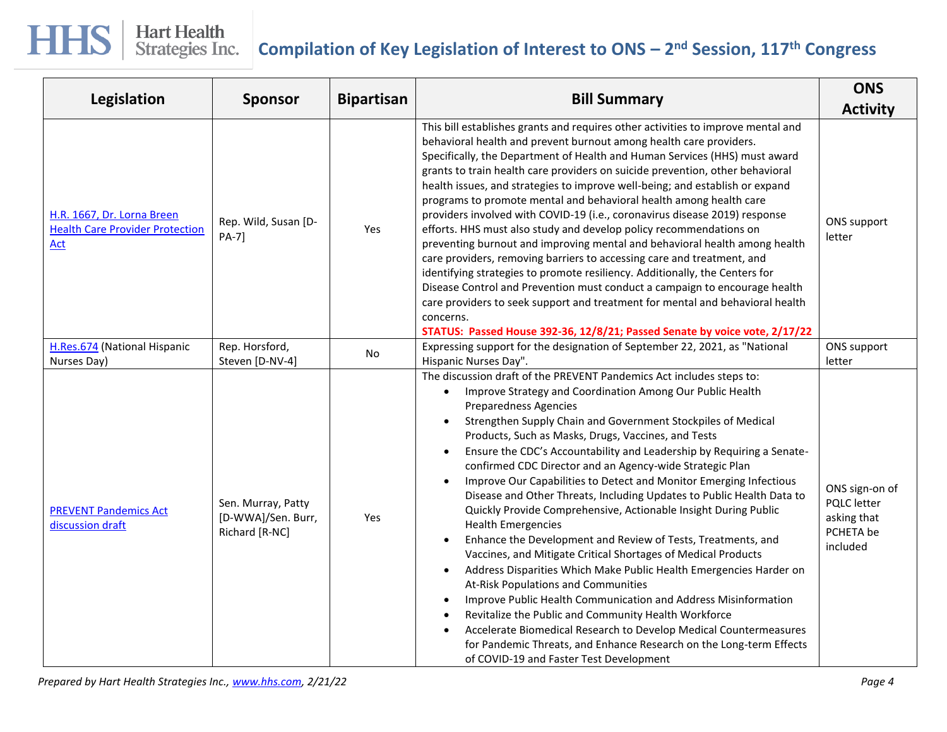| Legislation                                                                        | <b>Sponsor</b>                                             | <b>Bipartisan</b> | <b>Bill Summary</b>                                                                                                                                                                                                                                                                                                                                                                                                                                                                                                                                                                                                                                                                                                                                                                                                                                                                                                                                                                                                                                                                                                                                                                                                                                                                                                                                              | <b>ONS</b><br><b>Activity</b>                                                |
|------------------------------------------------------------------------------------|------------------------------------------------------------|-------------------|------------------------------------------------------------------------------------------------------------------------------------------------------------------------------------------------------------------------------------------------------------------------------------------------------------------------------------------------------------------------------------------------------------------------------------------------------------------------------------------------------------------------------------------------------------------------------------------------------------------------------------------------------------------------------------------------------------------------------------------------------------------------------------------------------------------------------------------------------------------------------------------------------------------------------------------------------------------------------------------------------------------------------------------------------------------------------------------------------------------------------------------------------------------------------------------------------------------------------------------------------------------------------------------------------------------------------------------------------------------|------------------------------------------------------------------------------|
| H.R. 1667, Dr. Lorna Breen<br><b>Health Care Provider Protection</b><br><b>Act</b> | Rep. Wild, Susan [D-<br><b>PA-71</b>                       | Yes               | This bill establishes grants and requires other activities to improve mental and<br>behavioral health and prevent burnout among health care providers.<br>Specifically, the Department of Health and Human Services (HHS) must award<br>grants to train health care providers on suicide prevention, other behavioral<br>health issues, and strategies to improve well-being; and establish or expand<br>programs to promote mental and behavioral health among health care<br>providers involved with COVID-19 (i.e., coronavirus disease 2019) response<br>efforts. HHS must also study and develop policy recommendations on<br>preventing burnout and improving mental and behavioral health among health<br>care providers, removing barriers to accessing care and treatment, and<br>identifying strategies to promote resiliency. Additionally, the Centers for<br>Disease Control and Prevention must conduct a campaign to encourage health<br>care providers to seek support and treatment for mental and behavioral health<br>concerns.<br>STATUS: Passed House 392-36, 12/8/21; Passed Senate by voice vote, 2/17/22                                                                                                                                                                                                                                 | ONS support<br>letter                                                        |
| H.Res.674 (National Hispanic                                                       | Rep. Horsford,                                             | No.               | Expressing support for the designation of September 22, 2021, as "National                                                                                                                                                                                                                                                                                                                                                                                                                                                                                                                                                                                                                                                                                                                                                                                                                                                                                                                                                                                                                                                                                                                                                                                                                                                                                       | ONS support                                                                  |
| Nurses Day)                                                                        | Steven [D-NV-4]                                            |                   | Hispanic Nurses Day".                                                                                                                                                                                                                                                                                                                                                                                                                                                                                                                                                                                                                                                                                                                                                                                                                                                                                                                                                                                                                                                                                                                                                                                                                                                                                                                                            | letter                                                                       |
| <b>PREVENT Pandemics Act</b><br>discussion draft                                   | Sen. Murray, Patty<br>[D-WWA]/Sen. Burr,<br>Richard [R-NC] | <b>Yes</b>        | The discussion draft of the PREVENT Pandemics Act includes steps to:<br>Improve Strategy and Coordination Among Our Public Health<br>$\bullet$<br><b>Preparedness Agencies</b><br>Strengthen Supply Chain and Government Stockpiles of Medical<br>$\bullet$<br>Products, Such as Masks, Drugs, Vaccines, and Tests<br>Ensure the CDC's Accountability and Leadership by Requiring a Senate-<br>$\bullet$<br>confirmed CDC Director and an Agency-wide Strategic Plan<br>Improve Our Capabilities to Detect and Monitor Emerging Infectious<br>$\bullet$<br>Disease and Other Threats, Including Updates to Public Health Data to<br>Quickly Provide Comprehensive, Actionable Insight During Public<br><b>Health Emergencies</b><br>Enhance the Development and Review of Tests, Treatments, and<br>$\bullet$<br>Vaccines, and Mitigate Critical Shortages of Medical Products<br>Address Disparities Which Make Public Health Emergencies Harder on<br>$\bullet$<br>At-Risk Populations and Communities<br>Improve Public Health Communication and Address Misinformation<br>$\bullet$<br>Revitalize the Public and Community Health Workforce<br>$\bullet$<br>Accelerate Biomedical Research to Develop Medical Countermeasures<br>$\bullet$<br>for Pandemic Threats, and Enhance Research on the Long-term Effects<br>of COVID-19 and Faster Test Development | ONS sign-on of<br><b>PQLC</b> letter<br>asking that<br>PCHETA be<br>included |